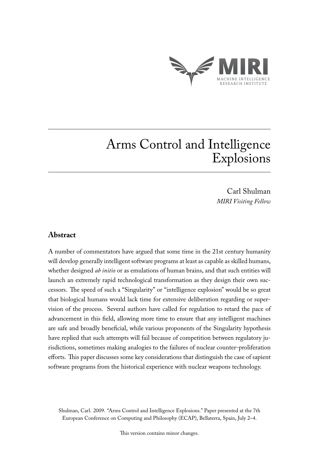

# Arms Control and Intelligence Explosions

Carl Shulman *MIRI Visiting Fellow*

## **Abstract**

A number of commentators have argued that some time in the 21st century humanity will develop generally intelligent software programs at least as capable as skilled humans, whether designed *ab initio* or as emulations of human brains, and that such entities will launch an extremely rapid technological transformation as they design their own successors. The speed of such a "Singularity" or "intelligence explosion" would be so great that biological humans would lack time for extensive deliberation regarding or supervision of the process. Several authors have called for regulation to retard the pace of advancement in this field, allowing more time to ensure that any intelligent machines are safe and broadly beneficial, while various proponents of the Singularity hypothesis have replied that such attempts will fail because of competition between regulatory jurisdictions, sometimes making analogies to the failures of nuclear counter-proliferation efforts. This paper discusses some key considerations that distinguish the case of sapient software programs from the historical experience with nuclear weapons technology.

Shulman, Carl. 2009. "Arms Control and Intelligence Explosions." Paper presented at the 7th European Conference on Computing and Philosophy (ECAP), Bellaterra, Spain, July 2–4.

This version contains minor changes.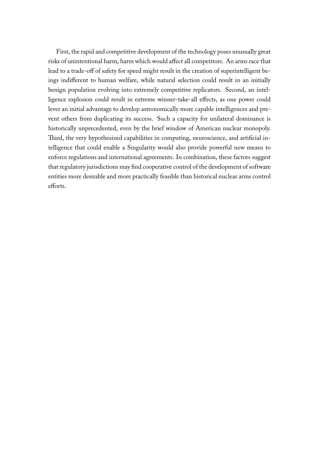First, the rapid and competitive development of the technology poses unusually great risks of unintentional harm, harm which would affect all competitors. An arms race that lead to a trade-off of safety for speed might result in the creation of superintelligent beings indifferent to human welfare, while natural selection could result in an initially benign population evolving into extremely competitive replicators. Second, an intelligence explosion could result in extreme winner-take-all effects, as one power could lever an initial advantage to develop astronomically more capable intelligences and prevent others from duplicating its success. Such a capacity for unilateral dominance is historically unprecedented, even by the brief window of American nuclear monopoly. Third, the very hypothesized capabilities in computing, neuroscience, and artificial intelligence that could enable a Singularity would also provide powerful new means to enforce regulations and international agreements. In combination, these factors suggest that regulatory jurisdictions may find cooperative control of the development of software entities more desirable and more practically feasible than historical nuclear arms control efforts.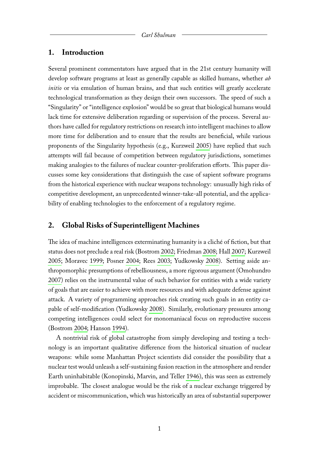#### **1. Introduction**

Several prominent commentators have argued that in the 21st century humanity will develop software programs at least as generally capable as skilled humans, whether *ab initio* or via emulation of human brains, and that such entities will greatly accelerate technological transformation as they design their own successors. The speed of such a "Singularity" or "intelligence explosion" would be so great that biological humans would lack time for extensive deliberation regarding or supervision of the process. Several authors have called for regulatory restrictions on research into intelligent machines to allow more time for deliberation and to ensure that the results are beneficial, while various proponents of the Singularity hypothesis (e.g., Kurzweil [2005\)](#page-5-0) have replied that such attempts will fail because of competition between regulatory jurisdictions, sometimes making analogies to the failures of nuclear counter-proliferation efforts. This paper discusses some key considerations that distinguish the case of sapient software programs from the historical experience with nuclear weapons technology: unusually high risks of competitive development, an unprecedented winner-take-all potential, and the applicability of enabling technologies to the enforcement of a regulatory regime.

### **2. Global Risks of Superintelligent Machines**

The idea of machine intelligences exterminating humanity is a cliché of fiction, but that status does not preclude a real risk (Bostrom [2002;](#page-5-1) Friedman [2008;](#page-5-2) Hall [2007;](#page-5-3) Kurzweil [2005;](#page-5-0) Moravec [1999;](#page-5-4) Posner [2004;](#page-5-5) Rees [2003;](#page-5-6) Yudkowsky [2008\)](#page-5-7). Setting aside anthropomorphic presumptions of rebelliousness, a more rigorous argument (Omohundro [2007\)](#page-5-8) relies on the instrumental value of such behavior for entities with a wide variety of goals that are easier to achieve with more resources and with adequate defense against attack. A variety of programming approaches risk creating such goals in an entity capable of self-modification (Yudkowsky [2008\)](#page-5-7). Similarly, evolutionary pressures among competing intelligences could select for monomaniacal focus on reproductive success (Bostrom [2004;](#page-5-9) Hanson [1994\)](#page-5-10).

A nontrivial risk of global catastrophe from simply developing and testing a technology is an important qualitative difference from the historical situation of nuclear weapons: while some Manhattan Project scientists did consider the possibility that a nuclear test would unleash a self-sustaining fusion reaction in the atmosphere and render Earth uninhabitable (Konopinski, Marvin, and Teller [1946\)](#page-5-11), this was seen as extremely improbable. The closest analogue would be the risk of a nuclear exchange triggered by accident or miscommunication, which was historically an area of substantial superpower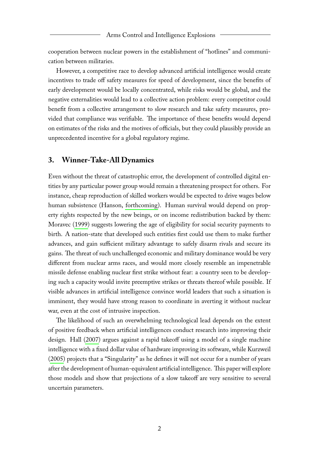cooperation between nuclear powers in the establishment of "hotlines" and communication between militaries.

However, a competitive race to develop advanced artificial intelligence would create incentives to trade off safety measures for speed of development, since the benefits of early development would be locally concentrated, while risks would be global, and the negative externalities would lead to a collective action problem: every competitor could benefit from a collective arrangement to slow research and take safety measures, provided that compliance was verifiable. The importance of these benefits would depend on estimates of the risks and the motives of officials, but they could plausibly provide an unprecedented incentive for a global regulatory regime.

#### **3. Winner-Take-All Dynamics**

Even without the threat of catastrophic error, the development of controlled digital entities by any particular power group would remain a threatening prospect for others. For instance, cheap reproduction of skilled workers would be expected to drive wages below human subsistence (Hanson, [forthcoming\)](#page-5-12). Human survival would depend on property rights respected by the new beings, or on income redistribution backed by them: Moravec [\(1999\)](#page-5-4) suggests lowering the age of eligibility for social security payments to birth. A nation-state that developed such entities first could use them to make further advances, and gain sufficient military advantage to safely disarm rivals and secure its gains. The threat of such unchallenged economic and military dominance would be very different from nuclear arms races, and would more closely resemble an impenetrable missile defense enabling nuclear first strike without fear: a country seen to be developing such a capacity would invite preemptive strikes or threats thereof while possible. If visible advances in artificial intelligence convince world leaders that such a situation is imminent, they would have strong reason to coordinate in averting it without nuclear war, even at the cost of intrusive inspection.

The likelihood of such an overwhelming technological lead depends on the extent of positive feedback when artificial intelligences conduct research into improving their design. Hall [\(2007\)](#page-5-3) argues against a rapid takeoff using a model of a single machine intelligence with a fixed dollar value of hardware improving its software, while Kurzweil [\(2005\)](#page-5-0) projects that a "Singularity" as he defines it will not occur for a number of years after the development of human-equivalent artificial intelligence. This paper will explore those models and show that projections of a slow takeoff are very sensitive to several uncertain parameters.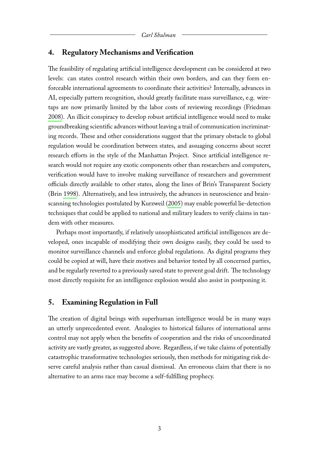#### **4. Regulatory Mechanisms and Verification**

The feasibility of regulating artificial intelligence development can be considered at two levels: can states control research within their own borders, and can they form enforceable international agreements to coordinate their activities? Internally, advances in AI, especially pattern recognition, should greatly facilitate mass surveillance, e.g. wiretaps are now primarily limited by the labor costs of reviewing recordings (Friedman [2008\)](#page-5-2). An illicit conspiracy to develop robust artificial intelligence would need to make groundbreaking scientific advances without leaving a trail of communication incriminating records. These and other considerations suggest that the primary obstacle to global regulation would be coordination between states, and assuaging concerns about secret research efforts in the style of the Manhattan Project. Since artificial intelligence research would not require any exotic components other than researchers and computers, verification would have to involve making surveillance of researchers and government officials directly available to other states, along the lines of Brin's Transparent Society (Brin [1998\)](#page-5-13). Alternatively, and less intrusively, the advances in neuroscience and brainscanning technologies postulated by Kurzweil [\(2005\)](#page-5-0) may enable powerful lie-detection techniques that could be applied to national and military leaders to verify claims in tandem with other measures.

Perhaps most importantly, if relatively unsophisticated artificial intelligences are developed, ones incapable of modifying their own designs easily, they could be used to monitor surveillance channels and enforce global regulations. As digital programs they could be copied at will, have their motives and behavior tested by all concerned parties, and be regularly reverted to a previously saved state to prevent goal drift. The technology most directly requisite for an intelligence explosion would also assist in postponing it.

#### **5. Examining Regulation in Full**

The creation of digital beings with superhuman intelligence would be in many ways an utterly unprecedented event. Analogies to historical failures of international arms control may not apply when the benefits of cooperation and the risks of uncoordinated activity are vastly greater, as suggested above. Regardless, if we take claims of potentially catastrophic transformative technologies seriously, then methods for mitigating risk deserve careful analysis rather than casual dismissal. An erroneous claim that there is no alternative to an arms race may become a self-fulfilling prophecy.